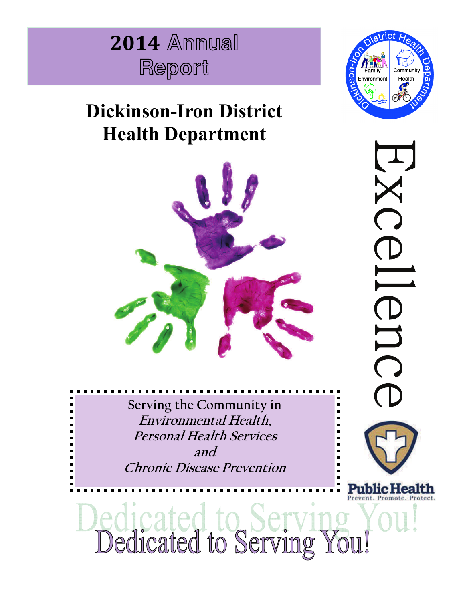

# **Dickinson-Iron District Health Department**



**Serving the Community in Environmental Health, Personal Health Services and Chronic Disease Prevention** 



 $\mathbf{r}$ UC Public Health

edicated to Servi<br>Dedicated to Serving ou!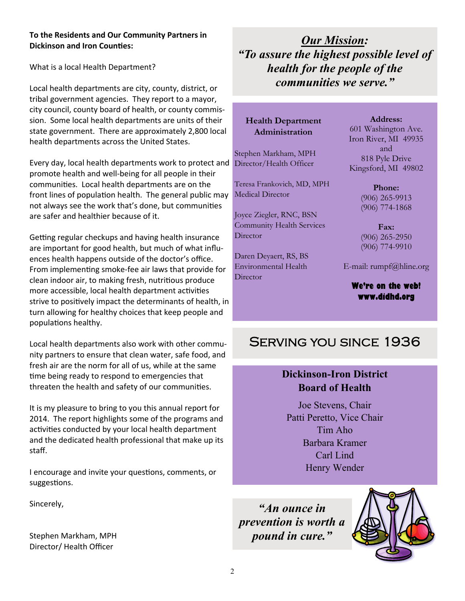### **To the Residents and Our Community Partners in Dickinson and Iron Counties:**

What is a local Health Department?

Local health departments are city, county, district, or tribal government agencies. They report to a mayor, city council, county board of health, or county commission. Some local health departments are units of their state government. There are approximately 2,800 local health departments across the United States.

Every day, local health departments work to protect and promote health and well-being for all people in their communities. Local health departments are on the front lines of population health. The general public may not always see the work that's done, but communities are safer and healthier because of it.

Getting regular checkups and having health insurance are important for good health, but much of what influences health happens outside of the doctor's office. From implementing smoke-fee air laws that provide for clean indoor air, to making fresh, nutritious produce more accessible, local health department activities strive to positively impact the determinants of health, in turn allowing for healthy choices that keep people and populations healthy.

Local health departments also work with other community partners to ensure that clean water, safe food, and fresh air are the norm for all of us, while at the same time being ready to respond to emergencies that threaten the health and safety of our communities.

It is my pleasure to bring to you this annual report for 2014. The report highlights some of the programs and activities conducted by your local health department and the dedicated health professional that make up its staff.

I encourage and invite your questions, comments, or suggestions.

Sincerely,

Stephen Markham, MPH Director/ Health Officer

*Our Mission: "To assure the highest possible level of health for the people of the communities we serve."* 

**Health Department Administration** 

Stephen Markham, MPH Director/Health Officer

Teresa Frankovich, MD, MPH Medical Director

Joyce Ziegler, RNC, BSN Community Health Services **Director** 

Daren Deyaert, RS, BS Environmental Health **Director** 

**Address:**  601 Washington Ave. Iron River, MI 49935 and 818 Pyle Drive Kingsford, MI 49802

> **Phone:**  (906) 265-9913 (906) 774-1868

> **Fax:**  (906) 265-2950 (906) 774-9910

E-mail: rumpf@hline.org

**We're on the web! www.didhd.org** 

# Serving you since 1936

# **Dickinson-Iron District Board of Health**

Joe Stevens, Chair Patti Peretto, Vice Chair Tim Aho Barbara Kramer Carl Lind Henry Wender

*"An ounce in prevention is worth a pound in cure."* 

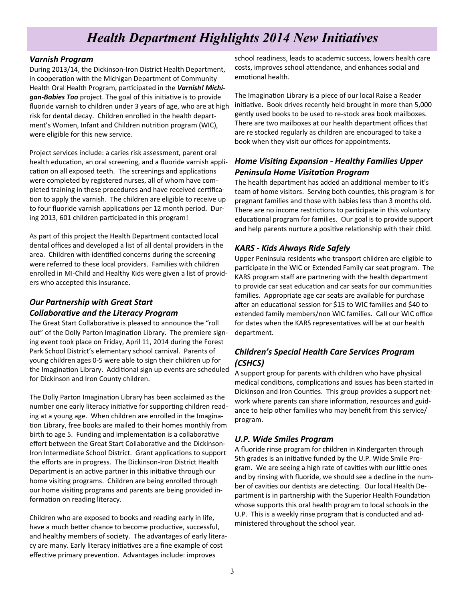# *Health Department Highlights 2014 New Initiatives*

#### *Varnish Program*

During 2013/14, the Dickinson-Iron District Health Department, in cooperation with the Michigan Department of Community Health Oral Health Program, participated in the Varnish! Michigan-Babies Too project. The goal of this initiative is to provide fluoride varnish to children under 3 years of age, who are at high risk for dental decay. Children enrolled in the health department's Women, Infant and Children nutrition program (WIC), were eligible for this new service.

Project services include: a caries risk assessment, parent oral health education, an oral screening, and a fluoride varnish application on all exposed teeth. The screenings and applications were completed by registered nurses, all of whom have completed training in these procedures and have received certification to apply the varnish. The children are eligible to receive up to four fluoride varnish applications per 12 month period. During 2013, 601 children participated in this program!

As part of this project the Health Department contacted local dental offices and developed a list of all dental providers in the area. Children with identified concerns during the screening were referred to these local providers. Families with children enrolled in MI-Child and Healthy Kids were given a list of providers who accepted this insurance.

# *Our Partnership with Great Start CollaboraƟve and the Literacy Program*

The Great Start Collaborative is pleased to announce the "roll out" of the Dolly Parton Imagination Library. The premiere signing event took place on Friday, April 11, 2014 during the Forest Park School District's elementary school carnival. Parents of young children ages 0-5 were able to sign their children up for the Imagination Library. Additional sign up events are scheduled for Dickinson and Iron County children.

The Dolly Parton Imagination Library has been acclaimed as the number one early literacy initiative for supporting children reading at a young age. When children are enrolled in the Imagination Library, free books are mailed to their homes monthly from birth to age 5. Funding and implementation is a collaborative effort between the Great Start Collaborative and the Dickinson-Iron Intermediate School District. Grant applications to support the efforts are in progress. The Dickinson-Iron District Health Department is an active partner in this initiative through our home visiting programs. Children are being enrolled through our home visiting programs and parents are being provided information on reading literacy.

Children who are exposed to books and reading early in life, have a much better chance to become productive, successful, and healthy members of society. The advantages of early literacy are many. Early literacy initiatives are a fine example of cost effective primary prevention. Advantages include: improves

school readiness, leads to academic success, lowers health care costs, improves school attendance, and enhances social and emotional health.

The Imagination Library is a piece of our local Raise a Reader initiative. Book drives recently held brought in more than 5,000 gently used books to be used to re-stock area book mailboxes. There are two mailboxes at our health department offices that are re stocked regularly as children are encouraged to take a book when they visit our offices for appointments.

# *Home VisiƟng Expansion - Healthy Families Upper Peninsula Home VisitaƟon Program*

The health department has added an additional member to it's team of home visitors. Serving both counties, this program is for pregnant families and those with babies less than 3 months old. There are no income restrictions to participate in this voluntary educational program for families. Our goal is to provide support and help parents nurture a positive relationship with their child.

# *KARS - Kids Always Ride Safely*

Upper Peninsula residents who transport children are eligible to participate in the WIC or Extended Family car seat program. The KARS program staff are partnering with the health department to provide car seat education and car seats for our communities families. Appropriate age car seats are available for purchase after an educational session for \$15 to WIC families and \$40 to extended family members/non WIC families. Call our WIC office for dates when the KARS representatives will be at our health department.

# *Children's Special Health Care Services Program (CSHCS)*

A support group for parents with children who have physical medical conditions, complications and issues has been started in Dickinson and Iron Counties. This group provides a support network where parents can share information, resources and guidance to help other families who may benefit from this service/ program.

# *U.P. Wide Smiles Program*

A fluoride rinse program for children in Kindergarten through 5th grades is an initiative funded by the U.P. Wide Smile Program. We are seeing a high rate of cavities with our little ones and by rinsing with fluoride, we should see a decline in the number of cavities our dentists are detecting. Our local Health Department is in partnership with the Superior Health Foundation whose supports this oral health program to local schools in the U.P. This is a weekly rinse program that is conducted and administered throughout the school year.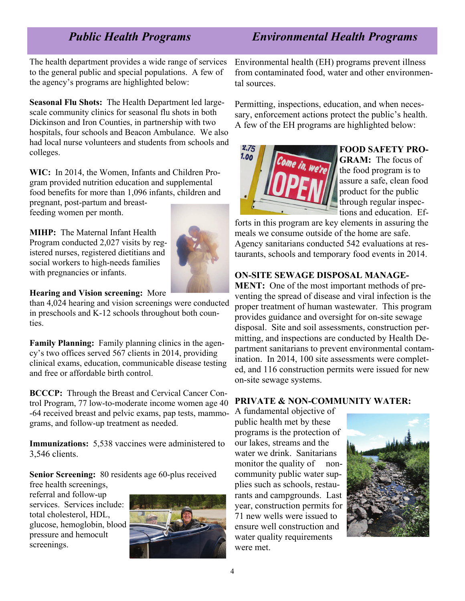# *Public Health Programs Environmental Health Programs*

The health department provides a wide range of services to the general public and special populations. A few of the agency's programs are highlighted below:

**Seasonal Flu Shots:** The Health Department led largescale community clinics for seasonal flu shots in both Dickinson and Iron Counties, in partnership with two hospitals, four schools and Beacon Ambulance. We also had local nurse volunteers and students from schools and colleges.

**WIC:** In 2014, the Women, Infants and Children Program provided nutrition education and supplemental food benefits for more than 1,096 infants, children and pregnant, post-partum and breastfeeding women per month.

**MIHP:** The Maternal Infant Health Program conducted 2,027 visits by registered nurses, registered dietitians and social workers to high-needs families with pregnancies or infants.



#### **Hearing and Vision screening:** More

than 4,024 hearing and vision screenings were conducted in preschools and K-12 schools throughout both counties.

**Family Planning:** Family planning clinics in the agency's two offices served 567 clients in 2014, providing clinical exams, education, communicable disease testing and free or affordable birth control.

**BCCCP:** Through the Breast and Cervical Cancer Control Program, 77 low-to-moderate income women age 40 -64 received breast and pelvic exams, pap tests, mammograms, and follow-up treatment as needed.

**Immunizations:** 5,538 vaccines were administered to 3,546 clients.

**Senior Screening:** 80 residents age 60-plus received free health screenings,

referral and follow-up services. Services include: total cholesterol, HDL, glucose, hemoglobin, blood pressure and hemocult screenings.



Environmental health (EH) programs prevent illness from contaminated food, water and other environmental sources.

Permitting, inspections, education, and when necessary, enforcement actions protect the public's health. A few of the EH programs are highlighted below:



## **FOOD SAFETY PRO-**

**GRAM:** The focus of the food program is to assure a safe, clean food product for the public through regular inspections and education. Ef-

forts in this program are key elements in assuring the meals we consume outside of the home are safe. Agency sanitarians conducted 542 evaluations at restaurants, schools and temporary food events in 2014.

## **ON-SITE SEWAGE DISPOSAL MANAGE-**

**MENT:** One of the most important methods of preventing the spread of disease and viral infection is the proper treatment of human wastewater. This program provides guidance and oversight for on-site sewage disposal. Site and soil assessments, construction permitting, and inspections are conducted by Health Department sanitarians to prevent environmental contamination. In 2014, 100 site assessments were completed, and 116 construction permits were issued for new on-site sewage systems.

## **PRIVATE & NON-COMMUNITY WATER:**

A fundamental objective of public health met by these programs is the protection of our lakes, streams and the water we drink. Sanitarians monitor the quality of noncommunity public water supplies such as schools, restaurants and campgrounds. Last year, construction permits for 71 new wells were issued to ensure well construction and water quality requirements were met.

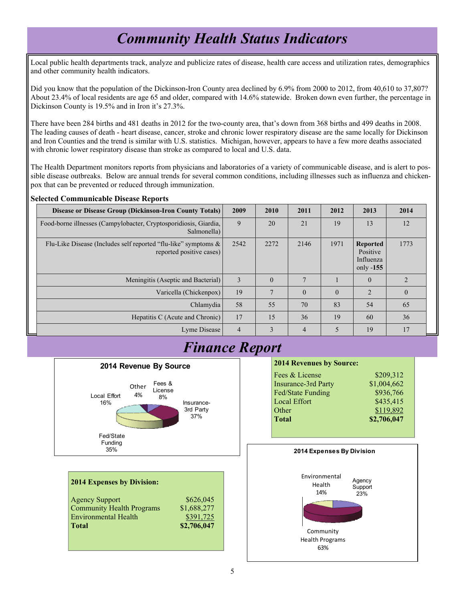# *Community Health Status Indicators*

Local public health departments track, analyze and publicize rates of disease, health care access and utilization rates, demographics and other community health indicators.

Did you know that the population of the Dickinson-Iron County area declined by 6.9% from 2000 to 2012, from 40,610 to 37,807? About 23.4% of local residents are age 65 and older, compared with 14.6% statewide. Broken down even further, the percentage in Dickinson County is 19.5% and in Iron it's 27.3%.

There have been 284 births and 481 deaths in 2012 for the two-county area, that's down from 368 births and 499 deaths in 2008. The leading causes of death - heart disease, cancer, stroke and chronic lower respiratory disease are the same locally for Dickinson and Iron Counties and the trend is similar with U.S. statistics. Michigan, however, appears to have a few more deaths associated with chronic lower respiratory disease than stroke as compared to local and U.S. data.

The Health Department monitors reports from physicians and laboratories of a variety of communicable disease, and is alert to possible disease outbreaks. Below are annual trends for several common conditions, including illnesses such as influenza and chickenpox that can be prevented or reduced through immunization.

#### **Selected Communicable Disease Reports**

| Disease or Disease Group (Dickinson-Iron County Totals)                                    | 2009           | 2010     | 2011           | 2012     | 2013                                                    | 2014           |
|--------------------------------------------------------------------------------------------|----------------|----------|----------------|----------|---------------------------------------------------------|----------------|
| Food-borne illnesses (Campylobacter, Cryptosporidiosis, Giardia,<br>Salmonella)            | 9              | 20       | 21             | 19       | 13                                                      | 12             |
| Flu-Like Disease (Includes self reported "flu-like" symptoms &<br>reported positive cases) | 2542           | 2272     | 2146           | 1971     | <b>Reported</b><br>Positive<br>Influenza<br>only $-155$ | 1773           |
| Meningitis (Aseptic and Bacterial)                                                         | 3              | $\theta$ | $\overline{7}$ |          | $\Omega$                                                | $\overline{2}$ |
| Varicella (Chickenpox)                                                                     | 19             | 7        | $\Omega$       | $\theta$ | $\overline{2}$                                          | $\overline{0}$ |
| Chlamydia                                                                                  | 58             | 55       | 70             | 83       | 54                                                      | 65             |
| Hepatitis C (Acute and Chronic)                                                            | 17             | 15       | 36             | 19       | 60                                                      | 36             |
| Lyme Disease                                                                               | $\overline{4}$ | 3        | $\overline{4}$ | 5        | 19                                                      | 17             |



**2014 Expenses by Division:** 

| <b>Agency Support</b>            | \$626,045   |
|----------------------------------|-------------|
| <b>Community Health Programs</b> | \$1,688,277 |
| <b>Environmental Health</b>      | \$391,725   |
| <b>Total</b>                     | \$2,706,047 |

# *Finance Report*

#### **2014 Revenues by Source:**

| Fees & License             | \$209,312   |
|----------------------------|-------------|
| <b>Insurance-3rd Party</b> | \$1,004,662 |
| Fed/State Funding          | \$936,766   |
| <b>Local Effort</b>        | \$435,415   |
| Other                      | \$119,892   |
| <b>Total</b>               | \$2,706,047 |
|                            |             |